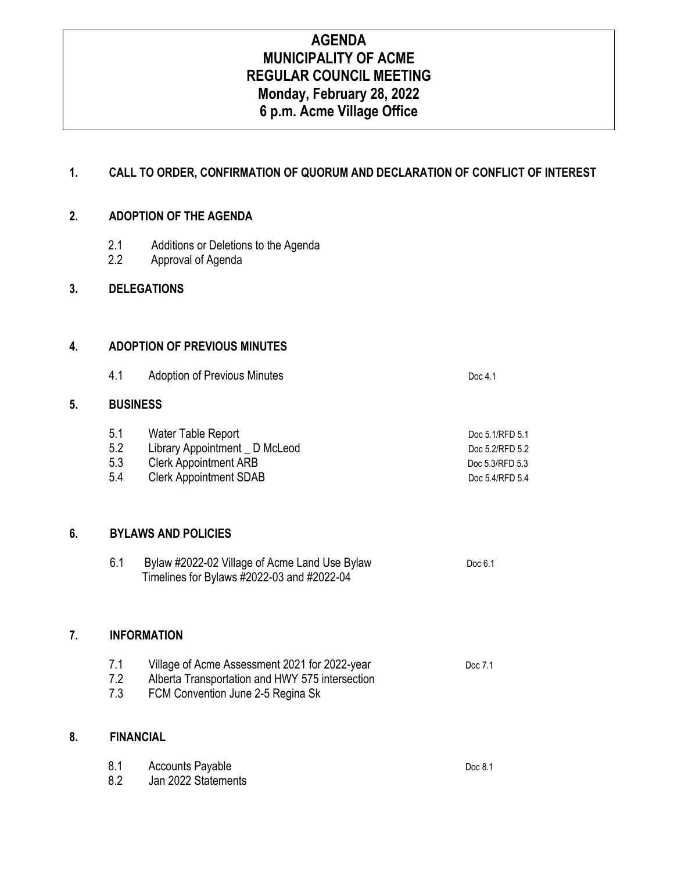# **AGENDA MUNICIPALITY OF ACME REGULAR COUNCIL MEETING Monday, February 28, 2022 6 p.m. Acme Village Office**

### **1. CALL TO ORDER, CONFIRMATION OF QUORUM AND DECLARATION OF CONFLICT OF INTEREST**

### **2. ADOPTION OF THE AGENDA**

- 2.1 Additions or Deletions to the Agenda
- 2.2 Approval of Agenda

### **3. DELEGATIONS**

### **4. ADOPTION OF PREVIOUS MINUTES**

4.1 Adoption of Previous Minutes **Doc 4.1** Doc 4.1

#### **5. BUSINESS**

| 5.1 | Water Table Report             | Doc 5.1/RFD 5.1 |
|-----|--------------------------------|-----------------|
| 5.2 | Library Appointment _ D McLeod | Doc 5.2/RFD 5.2 |
| 5.3 | <b>Clerk Appointment ARB</b>   | Doc 5.3/RFD 5.3 |
| 5.4 | <b>Clerk Appointment SDAB</b>  | Doc 5.4/RFD 5.4 |

### **6. BYLAWS AND POLICIES**

| Bylaw #2022-02 Village of Acme Land Use Bylaw | Doc 6.1 |
|-----------------------------------------------|---------|
| Timelines for Bylaws #2022-03 and #2022-04    |         |

### **7. INFORMATION**

| 7.1 | Village of Acme Assessment 2021 for 2022-year   | Doc 7.1 |
|-----|-------------------------------------------------|---------|
| 7.2 | Alberta Transportation and HWY 575 intersection |         |

7.3 FCM Convention June 2-5 Regina Sk

#### **8. FINANCIAL**

| 8.1 | Accounts Payable    | Doc 8.1 |
|-----|---------------------|---------|
| 8.2 | Jan 2022 Statements |         |